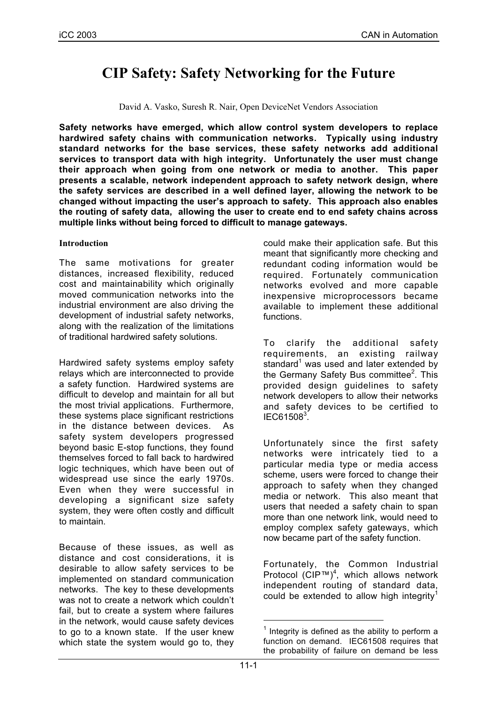# **CIP Safety: Safety Networking for the Future**

David A. Vasko, Suresh R. Nair, Open DeviceNet Vendors Association

**Safety networks have emerged, which allow control system developers to replace hardwired safety chains with communication networks. Typically using industry standard networks for the base services, these safety networks add additional services to transport data with high integrity. Unfortunately the user must change their approach when going from one network or media to another. This paper presents a scalable, network independent approach to safety network design, where the safety services are described in a well defined layer, allowing the network to be changed without impacting the user's approach to safety. This approach also enables the routing of safety data, allowing the user to create end to end safety chains across multiple links without being forced to difficult to manage gateways.**

## **Introduction**

The same motivations for greater distances, increased flexibility, reduced cost and maintainability which originally moved communication networks into the industrial environment are also driving the development of industrial safety networks, along with the realization of the limitations of traditional hardwired safety solutions.

Hardwired safety systems employ safety relays which are interconnected to provide a safety function. Hardwired systems are difficult to develop and maintain for all but the most trivial applications. Furthermore, these systems place significant restrictions in the distance between devices. As safety system developers progressed beyond basic E-stop functions, they found themselves forced to fall back to hardwired logic techniques, which have been out of widespread use since the early 1970s. Even when they were successful in developing a significant size safety system, they were often costly and difficult to maintain.

Because of these issues, as well as distance and cost considerations, it is desirable to allow safety services to be implemented on standard communication networks. The key to these developments was not to create a network which couldn't fail, but to create a system where failures in the network, would cause safety devices to go to a known state. If the user knew which state the system would go to, they could make their application safe. But this meant that significantly more checking and redundant coding information would be required. Fortunately communication networks evolved and more capable inexpensive microprocessors became available to implement these additional functions.

To clarify the additional safety requirements, an existing railway standard $1$  was used and later extended by the Germany Safety Bus committee<sup>2</sup>. This provided design guidelines to safety network developers to allow their networks and safety devices to be certified to  $IEC61508<sup>3</sup>$ .

Unfortunately since the first safety networks were intricately tied to a particular media type or media access scheme, users were forced to change their approach to safety when they changed media or network. This also meant that users that needed a safety chain to span more than one network link, would need to employ complex safety gateways, which now became part of the safety function.

Fortunately, the Common Industrial Protocol (CIP™)<sup>4</sup>, which allows network independent routing of standard data, could be extended to allow high integrity<sup>1</sup>

Integrity is defined as the ability to perform a function on demand. IEC61508 requires that the probability of failure on demand be less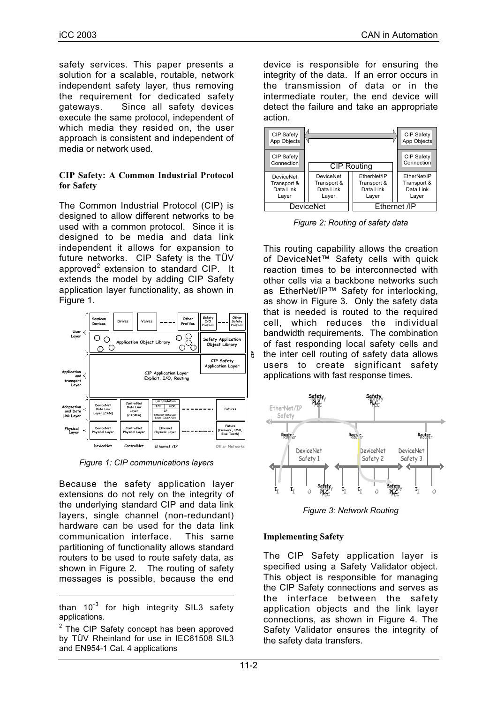safety services. This paper presents a solution for a scalable, routable, network independent safety layer, thus removing the requirement for dedicated safety gateways. Since all safety devices execute the same protocol, independent of which media they resided on, the user approach is consistent and independent of media or network used.

#### **CIP Safety: A Common Industrial Protocol for Safety**

The Common Industrial Protocol (CIP) is designed to allow different networks to be used with a common protocol. Since it is designed to be media and data link independent it allows for expansion to future networks. CIP Safety is the TÜV approved<sup>2</sup> extension to standard CIP. It extends the model by adding CIP Safety application layer functionality, as shown in Figure 1.



*Figure 1: CIP communications layers*

Because the safety application layer extensions do not rely on the integrity of the underlying standard CIP and data link layers, single channel (non-redundant) hardware can be used for the data link communication interface. This same partitioning of functionality allows standard routers to be used to route safety data, as shown in Figure 2. The routing of safety messages is possible, because the end

-

device is responsible for ensuring the integrity of the data. If an error occurs in the transmission of data or in the intermediate router, the end device will detect the failure and take an appropriate action.



*Figure 2: Routing of safety data*

This routing capability allows the creation of DeviceNet™ Safety cells with quick reaction times to be interconnected with other cells via a backbone networks such as EtherNet/IP™ Safety for interlocking, as show in Figure 3. Only the safety data that is needed is routed to the required cell, which reduces the individual bandwidth requirements. The combination of fast responding local safety cells and the inter cell routing of safety data allows users to create significant safety applications with fast response times.



*Figure 3: Network Routing*

## **Implementing Safety**

The CIP Safety application layer is specified using a Safety Validator object. This object is responsible for managing the CIP Safety connections and serves as the interface between the safety application objects and the link layer connections, as shown in Figure 4. The Safety Validator ensures the integrity of the safety data transfers.

than  $10^{-3}$  for high integrity SIL3 safety applications.

 $2$  The CIP Safety concept has been approved by TÜV Rheinland for use in IEC61508 SIL3 and EN954-1 Cat. 4 applications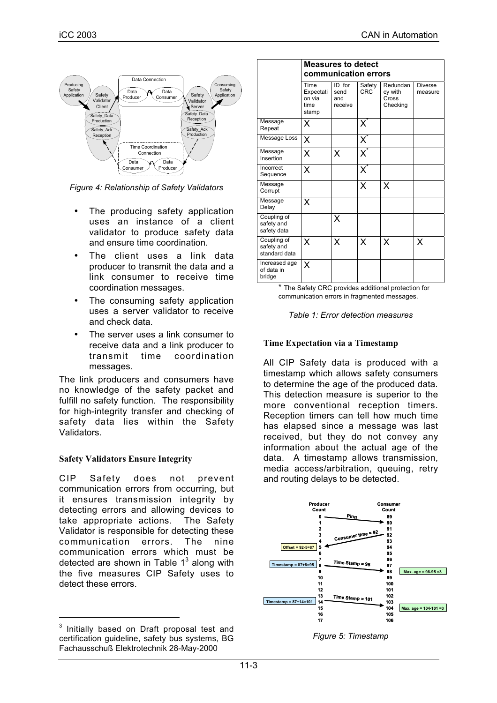

*Figure 4: Relationship of Safety Validators*

- The producing safety application uses an instance of a client validator to produce safety data and ensure time coordination.
- The client uses a link data producer to transmit the data and a link consumer to receive time coordination messages.
- The consuming safety application uses a server validator to receive and check data.
- The server uses a link consumer to receive data and a link producer to transmit time coordination messages.

The link producers and consumers have no knowledge of the safety packet and fulfill no safety function. The responsibility for high-integrity transfer and checking of safety data lies within the Safety Validators.

## **Safety Validators Ensure Integrity**

CIP Safety does not prevent communication errors from occurring, but it ensures transmission integrity by detecting errors and allowing devices to take appropriate actions. The Safety Validator is responsible for detecting these communication errors. The nine communication errors which must be detected are shown in Table  $1<sup>3</sup>$  along with the five measures CIP Safety uses to detect these errors.

|                                            | <b>Measures to detect</b>                    |                                  |                           |                                          |                           |
|--------------------------------------------|----------------------------------------------|----------------------------------|---------------------------|------------------------------------------|---------------------------|
|                                            | communication errors                         |                                  |                           |                                          |                           |
|                                            | Time<br>Expectati<br>on via<br>time<br>stamp | ID for<br>send<br>and<br>receive | Safety<br>CRC             | Redundan<br>cy with<br>Cross<br>Checking | <b>Diverse</b><br>measure |
| Message<br>Repeat                          | X                                            |                                  | $\mathsf{X}^*$            |                                          |                           |
| Message Loss                               | X                                            |                                  | $\overline{\mathsf{X}}^*$ |                                          |                           |
| Message<br>Insertion                       | X                                            | X                                | $\overline{\mathsf{X}}^*$ |                                          |                           |
| Incorrect<br>Sequence                      | X                                            |                                  | $\overline{\mathsf{X}}^*$ |                                          |                           |
| Message<br>Corrupt                         |                                              |                                  | X                         | X                                        |                           |
| Message<br>Delay                           | x                                            |                                  |                           |                                          |                           |
| Coupling of<br>safety and<br>safety data   |                                              | X                                |                           |                                          |                           |
| Coupling of<br>safety and<br>standard data | Χ                                            | X                                | X                         | X                                        | X                         |
| Increased age<br>of data in<br>bridge      | Χ                                            |                                  |                           |                                          |                           |

The Safety CRC provides additional protection for communication errors in fragmented messages.

*Table 1: Error detection measures*

#### **Time Expectation via a Timestamp**

All CIP Safety data is produced with a timestamp which allows safety consumers to determine the age of the produced data. This detection measure is superior to the more conventional reception timers. Reception timers can tell how much time has elapsed since a message was last received, but they do not convey any information about the actual age of the data. A timestamp allows transmission, media access/arbitration, queuing, retry and routing delays to be detected.





<sup>&</sup>lt;sup>3</sup> Initially based on Draft proposal test and certification guideline, safety bus systems, BG Fachausschuß Elektrotechnik 28-May-2000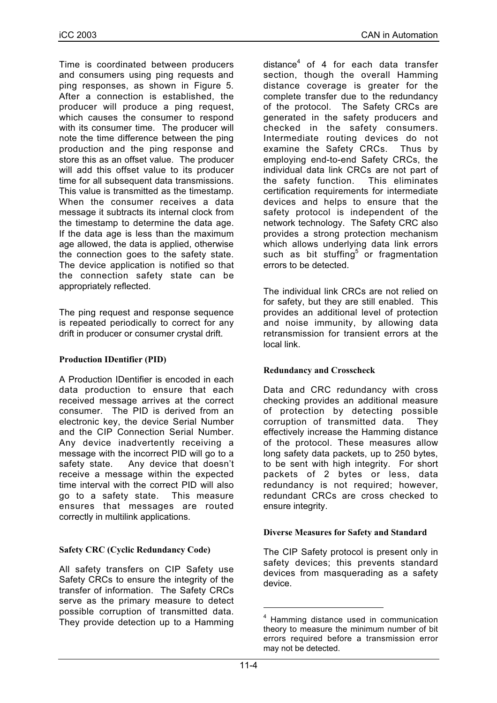Time is coordinated between producers and consumers using ping requests and ping responses, as shown in Figure 5. After a connection is established, the producer will produce a ping request, which causes the consumer to respond with its consumer time. The producer will note the time difference between the ping production and the ping response and store this as an offset value. The producer will add this offset value to its producer time for all subsequent data transmissions. This value is transmitted as the timestamp. When the consumer receives a data message it subtracts its internal clock from the timestamp to determine the data age. If the data age is less than the maximum age allowed, the data is applied, otherwise the connection goes to the safety state. The device application is notified so that the connection safety state can be appropriately reflected.

The ping request and response sequence is repeated periodically to correct for any drift in producer or consumer crystal drift.

## **Production IDentifier (PID)**

A Production IDentifier is encoded in each data production to ensure that each received message arrives at the correct consumer. The PID is derived from an electronic key, the device Serial Number and the CIP Connection Serial Number. Any device inadvertently receiving a message with the incorrect PID will go to a safety state. Any device that doesn't receive a message within the expected time interval with the correct PID will also go to a safety state. This measure ensures that messages are routed correctly in multilink applications.

## **Safety CRC (Cyclic Redundancy Code)**

All safety transfers on CIP Safety use Safety CRCs to ensure the integrity of the transfer of information. The Safety CRCs serve as the primary measure to detect possible corruption of transmitted data. They provide detection up to a Hamming

distance $4$  of 4 for each data transfer section, though the overall Hamming distance coverage is greater for the complete transfer due to the redundancy of the protocol. The Safety CRCs are generated in the safety producers and checked in the safety consumers. Intermediate routing devices do not examine the Safety CRCs. Thus by employing end-to-end Safety CRCs, the individual data link CRCs are not part of the safety function. This eliminates certification requirements for intermediate devices and helps to ensure that the safety protocol is independent of the network technology. The Safety CRC also provides a strong protection mechanism which allows underlying data link errors such as bit stuffing<sup>5</sup> or fragmentation errors to be detected.

The individual link CRCs are not relied on for safety, but they are still enabled. This provides an additional level of protection and noise immunity, by allowing data retransmission for transient errors at the local link.

## **Redundancy and Crosscheck**

Data and CRC redundancy with cross checking provides an additional measure of protection by detecting possible corruption of transmitted data. They effectively increase the Hamming distance of the protocol. These measures allow long safety data packets, up to 250 bytes, to be sent with high integrity. For short packets of 2 bytes or less, data redundancy is not required; however, redundant CRCs are cross checked to ensure integrity.

## **Diverse Measures for Safety and Standard**

The CIP Safety protocol is present only in safety devices; this prevents standard devices from masquerading as a safety device.

 $4$  Hamming distance used in communication theory to measure the minimum number of bit errors required before a transmission error may not be detected.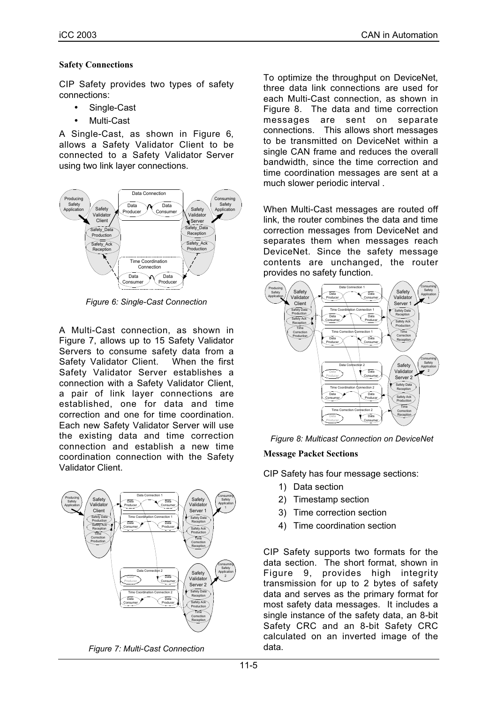#### **Safety Connections**

CIP Safety provides two types of safety connections:

- Single-Cast
- Multi-Cast

A Single-Cast, as shown in Figure 6, allows a Safety Validator Client to be connected to a Safety Validator Server using two link layer connections.



*Figure 6: Single-Cast Connection*

A Multi-Cast connection, as shown in Figure 7, allows up to 15 Safety Validator Servers to consume safety data from a Safety Validator Client. When the first Safety Validator Server establishes a connection with a Safety Validator Client, a pair of link layer connections are established, one for data and time correction and one for time coordination. Each new Safety Validator Server will use the existing data and time correction connection and establish a new time coordination connection with the Safety Validator Client.





To optimize the throughput on DeviceNet, three data link connections are used for each Multi-Cast connection, as shown in Figure 8. The data and time correction messages are sent on separate connections. This allows short messages to be transmitted on DeviceNet within a single CAN frame and reduces the overall bandwidth, since the time correction and time coordination messages are sent at a much slower periodic interval .

When Multi-Cast messages are routed off link, the router combines the data and time correction messages from DeviceNet and separates them when messages reach DeviceNet. Since the safety message contents are unchanged, the router provides no safety function.





#### **Message Packet Sections**

CIP Safety has four message sections:

- 1) Data section
- 2) Timestamp section
- 3) Time correction section
- 4) Time coordination section

CIP Safety supports two formats for the data section. The short format, shown in Figure 9, provides high integrity transmission for up to 2 bytes of safety data and serves as the primary format for most safety data messages. It includes a single instance of the safety data, an 8-bit Safety CRC and an 8-bit Safety CRC calculated on an inverted image of the data.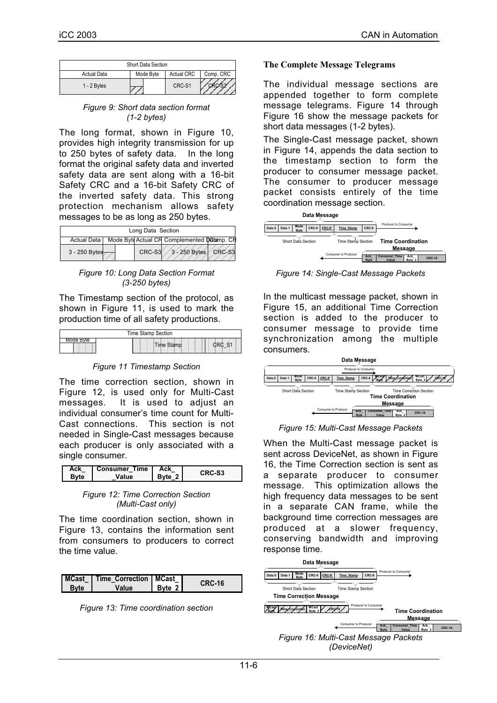|               | Short Data Section |                   |           |
|---------------|--------------------|-------------------|-----------|
| Actual Data   | Mode Byte          | <b>Actual CRC</b> | Comp. CRC |
| $1 - 2$ Bytes |                    | CRC-S1            |           |

*Figure 9: Short data section format (1-2 bytes)*

The long format, shown in Figure 10, provides high integrity transmission for up to 250 bytes of safety data. In the long format the original safety data and inverted safety data are sent along with a 16-bit Safety CRC and a 16-bit Safety CRC of the inverted safety data. This strong protection mechanism allows safety messages to be as long as 250 bytes.

|               | Long Data Section |                                             |  |
|---------------|-------------------|---------------------------------------------|--|
| Actual Data   |                   | Mode Byte Actual CF Complemented Datamp. CR |  |
| 3 - 250 Bytes | CRC-S3            | 3 - 250 Bytes CRC-S3                        |  |

*Figure 10: Long Data Section Format (3-250 bytes)*

The Timestamp section of the protocol, as shown in Figure 11, is used to mark the production time of all safety productions.



*Figure 11 Timestamp Section*

The time correction section, shown in Figure 12, is used only for Multi-Cast messages. It is used to adjust an individual consumer's time count for Multi-Cast connections. This section is not needed in Single-Cast messages because each producer is only associated with a single consumer.

| Ack  | <b>Consumer Time</b> | Ack    | CRC-S <sub>3</sub> |
|------|----------------------|--------|--------------------|
| Bvte | Value                | Byte 2 |                    |

*Figure 12: Time Correction Section (Multi-Cast only)*

The time coordination section, shown in Figure 13, contains the information sent from consumers to producers to correct the time value.

| MCast   Time Correction   MCast |               |        |
|---------------------------------|---------------|--------|
| Value                           | <b>Byte 2</b> | CRC-16 |

*Figure 13: Time coordination section*

#### **The Complete Message Telegrams**

The individual message sections are appended together to form complete message telegrams. Figure 14 through Figure 16 show the message packets for short data messages (1-2 bytes).

The Single-Cast message packet, shown in Figure 14, appends the data section to the timestamp section to form the producer to consumer message packet. The consumer to producer message packet consists entirely of the time coordination message section.

|        |        |                     |       | Data Message |                             |                           |                                            |               |               |
|--------|--------|---------------------|-------|--------------|-----------------------------|---------------------------|--------------------------------------------|---------------|---------------|
| Data 0 | Data 1 | Mode<br><b>Byte</b> | CRC-8 | CRC-8'       | <b>Time Stamp</b>           | CRC-8                     | Producer to Consumer                       |               |               |
|        |        | Short Data Section  |       |              | Time Stamp Section          |                           | <b>Time Coordination</b><br><b>Message</b> |               |               |
|        |        |                     |       |              | <b>Consumer to Producer</b> | <b>Ack</b><br><b>Byte</b> | <b>Consumer Time</b><br>Value              | Ack<br>Byte 2 | <b>CRC-16</b> |

*Figure 14: Single-Cast Message Packets*

In the multicast message packet, shown in Figure 15, an additional Time Correction section is added to the producer to consumer message to provide time synchronization among the multiple consumers.



*Figure 15: Multi-Cast Message Packets*

When the Multi-Cast message packet is sent across DeviceNet, as shown in Figure 16, the Time Correction section is sent as a separate producer to consumer message. This optimization allows the high frequency data messages to be sent in a separate CAN frame, while the background time correction messages are produced at a slower frequency, conserving bandwidth and improving response time.

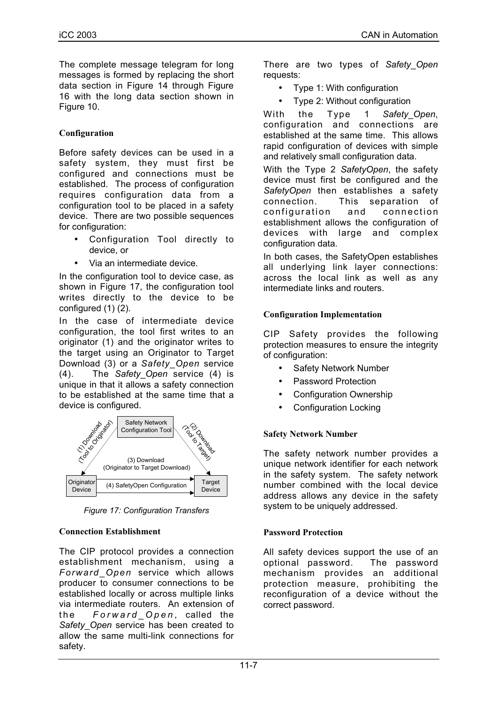The complete message telegram for long messages is formed by replacing the short data section in Figure 14 through Figure 16 with the long data section shown in Figure 10.

# **Configuration**

Before safety devices can be used in a safety system, they must first be configured and connections must be established. The process of configuration requires configuration data from a configuration tool to be placed in a safety device. There are two possible sequences for configuration:

- Configuration Tool directly to device, or
- Via an intermediate device.

In the configuration tool to device case, as shown in Figure 17, the configuration tool writes directly to the device to be configured (1) (2).

In the case of intermediate device configuration, the tool first writes to an originator (1) and the originator writes to the target using an Originator to Target Download (3) or a *Safety\_Open* service (4). The *Safety\_Open* service (4) is unique in that it allows a safety connection to be established at the same time that a device is configured.



*Figure 17: Configuration Transfers*

## **Connection Establishment**

The CIP protocol provides a connection establishment mechanism, using a *Forward\_Open* service which allows producer to consumer connections to be established locally or across multiple links via intermediate routers. An extension of the *Forward\_Open* , called the *Safety\_Open* service has been created to allow the same multi-link connections for safety.

There are two types of *Safety\_Open* requests:

- Type 1: With configuration
- Type 2: Without configuration

With the Type 1 *Safety\_Open*, configuration and connections are established at the same time. This allows rapid configuration of devices with simple and relatively small configuration data.

With the Type 2 *SafetyOpen*, the safety device must first be configured and the *SafetyOpen* then establishes a safety connection. This separation of configuration and connection establishment allows the configuration of devices with large and complex configuration data.

In both cases, the SafetyOpen establishes all underlying link layer connections: across the local link as well as any intermediate links and routers.

## **Configuration Implementation**

CIP Safety provides the following protection measures to ensure the integrity of configuration:

- Safety Network Number
- Password Protection
- Configuration Ownership
- Configuration Locking

# **Safety Network Number**

The safety network number provides a unique network identifier for each network in the safety system. The safety network number combined with the local device address allows any device in the safety system to be uniquely addressed.

## **Password Protection**

All safety devices support the use of an optional password. The password mechanism provides an additional protection measure, prohibiting the reconfiguration of a device without the correct password.